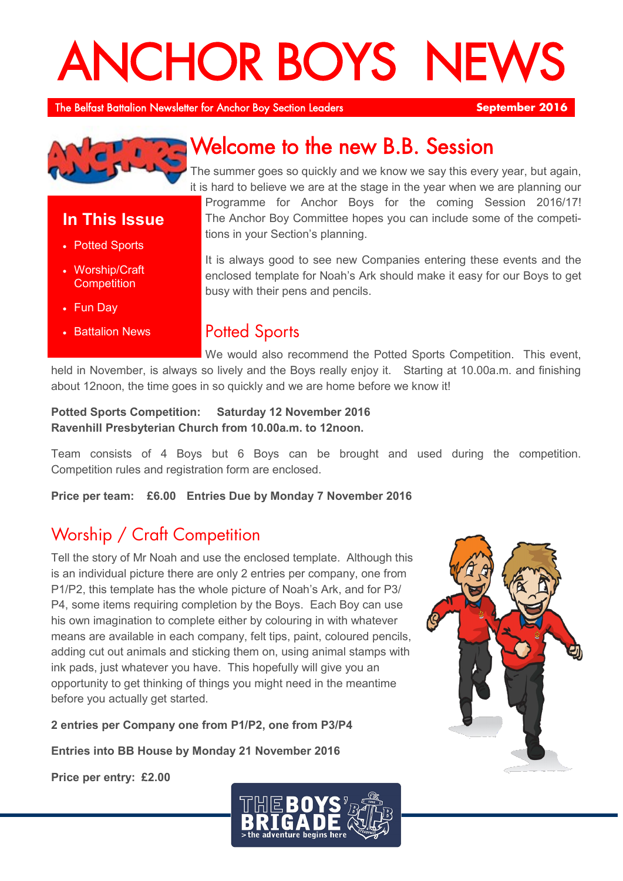# **ANCHOR BOYS NEW**

The Belfast Battalion Newsletter for Anchor Boy Section Leaders **September 2016** 



## Welcome to the new B.B. Session

The summer goes so quickly and we know we say this every year, but again, it is hard to believe we are at the stage in the year when we are planning our Programme for Anchor Boys for the coming Session 2016/17!

**In This Issue**

- Potted Sports
- Worship/Craft **Competition**
- Fun Day
- **Battalion News**

# The Anchor Boy Committee hopes you can include some of the competi-

It is always good to see new Companies entering these events and the enclosed template for Noah's Ark should make it easy for our Boys to get busy with their pens and pencils.

## **Potted Sports**

tions in your Section's planning.

We would also recommend the Potted Sports Competition. This event, held in November, is always so lively and the Boys really enjoy it. Starting at 10.00a.m. and finishing about 12noon, the time goes in so quickly and we are home before we know it!

## **Potted Sports Competition: Saturday 12 November 2016 Ravenhill Presbyterian Church from 10.00a.m. to 12noon.**

Team consists of 4 Boys but 6 Boys can be brought and used during the competition. Competition rules and registration form are enclosed.

**Price per team: £6.00 Entries Due by Monday 7 November 2016**

## Worship / Craft Competition

Tell the story of Mr Noah and use the enclosed template. Although this is an individual picture there are only 2 entries per company, one from P1/P2, this template has the whole picture of Noah's Ark, and for P3/ P4, some items requiring completion by the Boys. Each Boy can use his own imagination to complete either by colouring in with whatever means are available in each company, felt tips, paint, coloured pencils, adding cut out animals and sticking them on, using animal stamps with ink pads, just whatever you have. This hopefully will give you an opportunity to get thinking of things you might need in the meantime before you actually get started.

**2 entries per Company one from P1/P2, one from P3/P4**

**Entries into BB House by Monday 21 November 2016**

**Price per entry: £2.00**